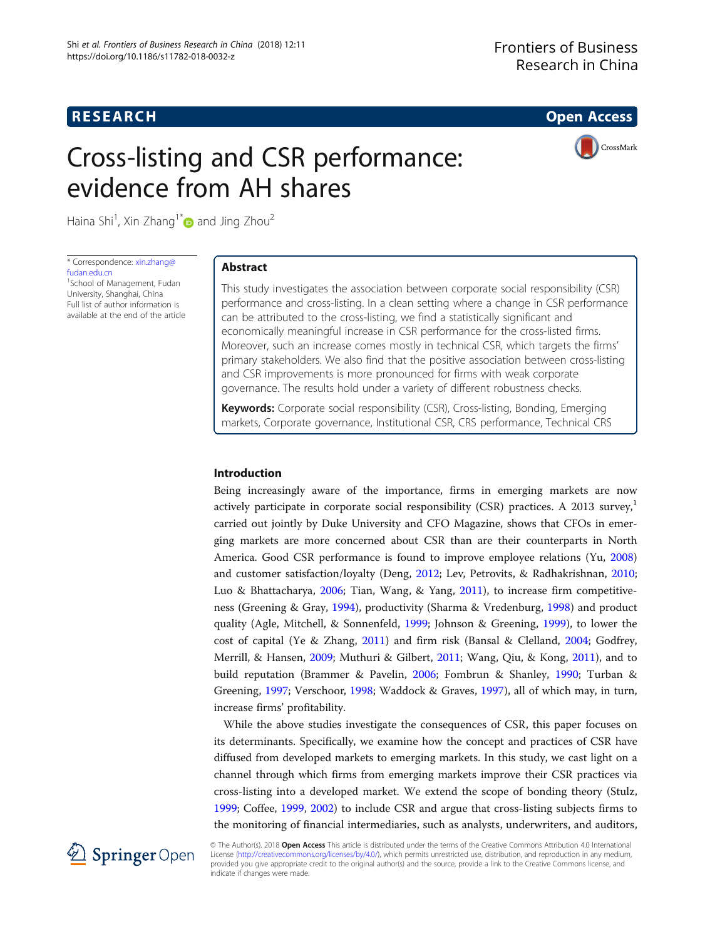## **RESEARCH RESEARCH CONSUMING ACCESS**

# Cross-listing and CSR performance: evidence from AH shares



Haina Shi<sup>1</sup>, Xin Zhang<sup>1\*</sup> $\textcolor{blue}{\bullet}$  and Jing Zhou<sup>2</sup>

\* Correspondence: [xin.zhang@](mailto:xin.zhang@fudan.edu.cn) [fudan.edu.cn](mailto:xin.zhang@fudan.edu.cn)

<sup>1</sup>School of Management, Fudan University, Shanghai, China Full list of author information is available at the end of the article

## Abstract

This study investigates the association between corporate social responsibility (CSR) performance and cross-listing. In a clean setting where a change in CSR performance can be attributed to the cross-listing, we find a statistically significant and economically meaningful increase in CSR performance for the cross-listed firms. Moreover, such an increase comes mostly in technical CSR, which targets the firms' primary stakeholders. We also find that the positive association between cross-listing and CSR improvements is more pronounced for firms with weak corporate governance. The results hold under a variety of different robustness checks.

Keywords: Corporate social responsibility (CSR), Cross-listing, Bonding, Emerging markets, Corporate governance, Institutional CSR, CRS performance, Technical CRS

#### Introduction

Being increasingly aware of the importance, firms in emerging markets are now actively participate in corporate social responsibility (CSR) practices. A 2013 survey, $\frac{1}{1}$ carried out jointly by Duke University and CFO Magazine, shows that CFOs in emerging markets are more concerned about CSR than are their counterparts in North America. Good CSR performance is found to improve employee relations (Yu, [2008](#page-14-0)) and customer satisfaction/loyalty (Deng, [2012](#page-13-0); Lev, Petrovits, & Radhakrishnan, [2010](#page-13-0); Luo & Bhattacharya, [2006](#page-13-0); Tian, Wang, & Yang, [2011](#page-14-0)), to increase firm competitiveness (Greening & Gray, [1994](#page-13-0)), productivity (Sharma & Vredenburg, [1998](#page-13-0)) and product quality (Agle, Mitchell, & Sonnenfeld, [1999](#page-12-0); Johnson & Greening, [1999](#page-13-0)), to lower the cost of capital (Ye & Zhang, [2011\)](#page-14-0) and firm risk (Bansal & Clelland, [2004](#page-12-0); Godfrey, Merrill, & Hansen, [2009](#page-13-0); Muthuri & Gilbert, [2011](#page-13-0); Wang, Qiu, & Kong, [2011](#page-14-0)), and to build reputation (Brammer & Pavelin, [2006](#page-12-0); Fombrun & Shanley, [1990;](#page-13-0) Turban & Greening, [1997;](#page-14-0) Verschoor, [1998](#page-14-0); Waddock & Graves, [1997\)](#page-14-0), all of which may, in turn, increase firms' profitability.

While the above studies investigate the consequences of CSR, this paper focuses on its determinants. Specifically, we examine how the concept and practices of CSR have diffused from developed markets to emerging markets. In this study, we cast light on a channel through which firms from emerging markets improve their CSR practices via cross-listing into a developed market. We extend the scope of bonding theory (Stulz, [1999](#page-14-0); Coffee, [1999](#page-12-0), [2002](#page-12-0)) to include CSR and argue that cross-listing subjects firms to the monitoring of financial intermediaries, such as analysts, underwriters, and auditors,



© The Author(s). 2018 Open Access This article is distributed under the terms of the Creative Commons Attribution 4.0 International License [\(http://creativecommons.org/licenses/by/4.0/](http://creativecommons.org/licenses/by/4.0/)), which permits unrestricted use, distribution, and reproduction in any medium, provided you give appropriate credit to the original author(s) and the source, provide a link to the Creative Commons license, and indicate if changes were made.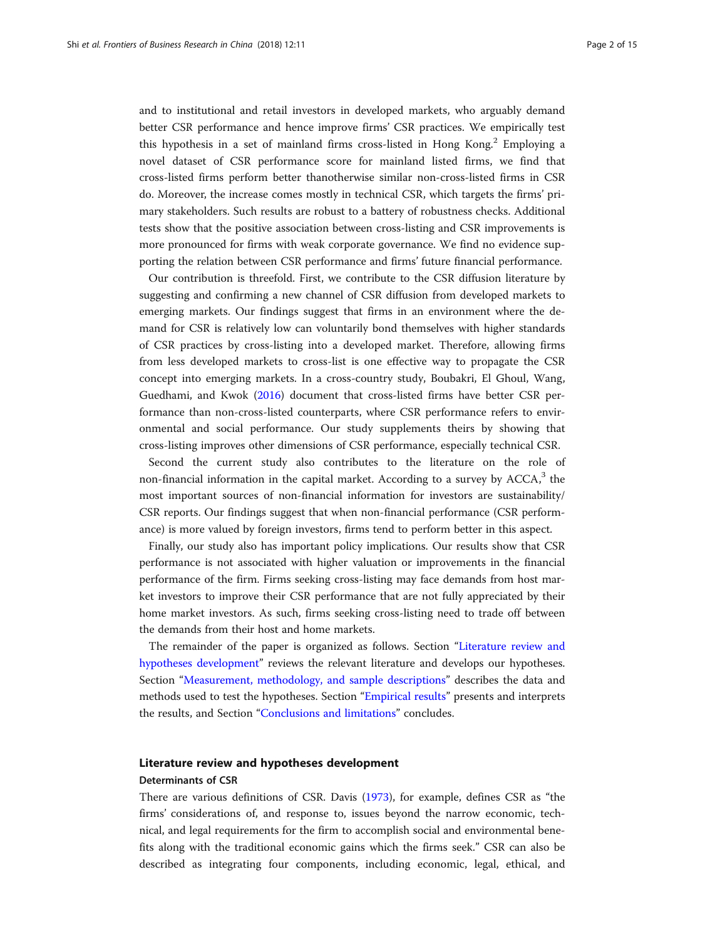and to institutional and retail investors in developed markets, who arguably demand better CSR performance and hence improve firms' CSR practices. We empirically test this hypothesis in a set of mainland firms cross-listed in Hong Kong.<sup>2</sup> Employing a novel dataset of CSR performance score for mainland listed firms, we find that cross-listed firms perform better thanotherwise similar non-cross-listed firms in CSR do. Moreover, the increase comes mostly in technical CSR, which targets the firms' primary stakeholders. Such results are robust to a battery of robustness checks. Additional tests show that the positive association between cross-listing and CSR improvements is more pronounced for firms with weak corporate governance. We find no evidence supporting the relation between CSR performance and firms' future financial performance.

Our contribution is threefold. First, we contribute to the CSR diffusion literature by suggesting and confirming a new channel of CSR diffusion from developed markets to emerging markets. Our findings suggest that firms in an environment where the demand for CSR is relatively low can voluntarily bond themselves with higher standards of CSR practices by cross-listing into a developed market. Therefore, allowing firms from less developed markets to cross-list is one effective way to propagate the CSR concept into emerging markets. In a cross-country study, Boubakri, El Ghoul, Wang, Guedhami, and Kwok ([2016](#page-12-0)) document that cross-listed firms have better CSR performance than non-cross-listed counterparts, where CSR performance refers to environmental and social performance. Our study supplements theirs by showing that cross-listing improves other dimensions of CSR performance, especially technical CSR.

Second the current study also contributes to the literature on the role of non-financial information in the capital market. According to a survey by  $ACCA$ <sup>3</sup>, the most important sources of non-financial information for investors are sustainability/ CSR reports. Our findings suggest that when non-financial performance (CSR performance) is more valued by foreign investors, firms tend to perform better in this aspect.

Finally, our study also has important policy implications. Our results show that CSR performance is not associated with higher valuation or improvements in the financial performance of the firm. Firms seeking cross-listing may face demands from host market investors to improve their CSR performance that are not fully appreciated by their home market investors. As such, firms seeking cross-listing need to trade off between the demands from their host and home markets.

The remainder of the paper is organized as follows. Section "Literature review and hypotheses development" reviews the relevant literature and develops our hypotheses. Section "[Measurement, methodology, and sample descriptions](#page-5-0)" describes the data and methods used to test the hypotheses. Section "[Empirical results](#page-7-0)" presents and interprets the results, and Section "[Conclusions and limitations](#page-11-0)" concludes.

## Literature review and hypotheses development

#### Determinants of CSR

There are various definitions of CSR. Davis [\(1973\)](#page-13-0), for example, defines CSR as "the firms' considerations of, and response to, issues beyond the narrow economic, technical, and legal requirements for the firm to accomplish social and environmental benefits along with the traditional economic gains which the firms seek." CSR can also be described as integrating four components, including economic, legal, ethical, and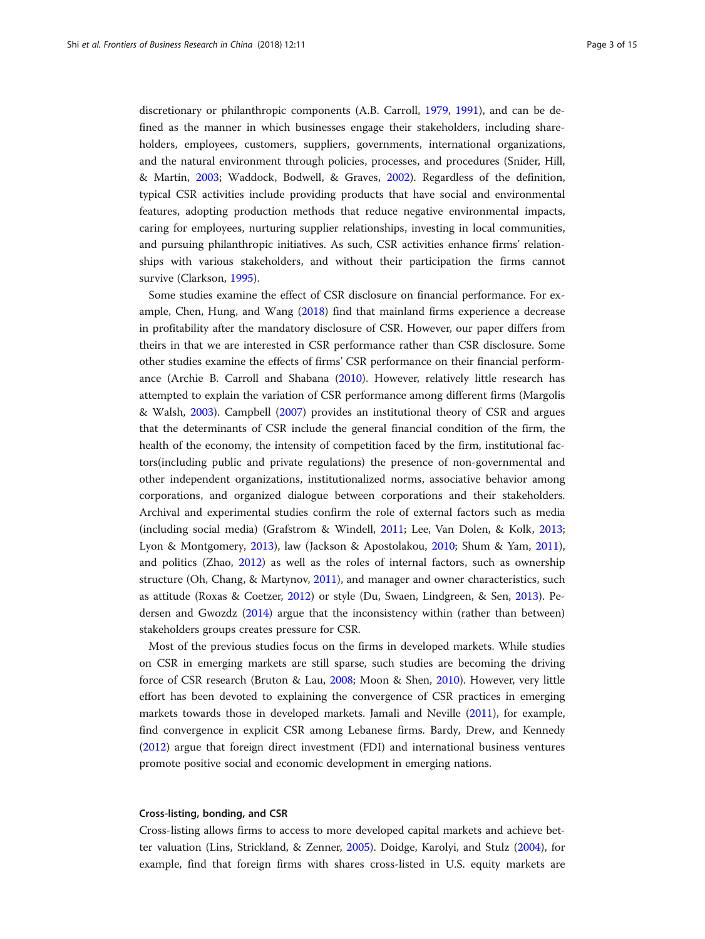discretionary or philanthropic components (A.B. Carroll, [1979,](#page-12-0) [1991\)](#page-12-0), and can be defined as the manner in which businesses engage their stakeholders, including shareholders, employees, customers, suppliers, governments, international organizations, and the natural environment through policies, processes, and procedures (Snider, Hill, & Martin, [2003](#page-14-0); Waddock, Bodwell, & Graves, [2002](#page-14-0)). Regardless of the definition, typical CSR activities include providing products that have social and environmental features, adopting production methods that reduce negative environmental impacts, caring for employees, nurturing supplier relationships, investing in local communities, and pursuing philanthropic initiatives. As such, CSR activities enhance firms' relationships with various stakeholders, and without their participation the firms cannot survive (Clarkson, [1995](#page-12-0)).

Some studies examine the effect of CSR disclosure on financial performance. For example, Chen, Hung, and Wang ([2018](#page-12-0)) find that mainland firms experience a decrease in profitability after the mandatory disclosure of CSR. However, our paper differs from theirs in that we are interested in CSR performance rather than CSR disclosure. Some other studies examine the effects of firms' CSR performance on their financial performance (Archie B. Carroll and Shabana [\(2010\)](#page-12-0). However, relatively little research has attempted to explain the variation of CSR performance among different firms (Margolis & Walsh, [2003\)](#page-13-0). Campbell [\(2007\)](#page-12-0) provides an institutional theory of CSR and argues that the determinants of CSR include the general financial condition of the firm, the health of the economy, the intensity of competition faced by the firm, institutional factors(including public and private regulations) the presence of non-governmental and other independent organizations, institutionalized norms, associative behavior among corporations, and organized dialogue between corporations and their stakeholders. Archival and experimental studies confirm the role of external factors such as media (including social media) (Grafstrom & Windell, [2011](#page-13-0); Lee, Van Dolen, & Kolk, [2013](#page-13-0); Lyon & Montgomery, [2013](#page-13-0)), law (Jackson & Apostolakou, [2010;](#page-13-0) Shum & Yam, [2011](#page-13-0)), and politics (Zhao, [2012](#page-14-0)) as well as the roles of internal factors, such as ownership structure (Oh, Chang, & Martynov, [2011\)](#page-13-0), and manager and owner characteristics, such as attitude (Roxas & Coetzer, [2012\)](#page-13-0) or style (Du, Swaen, Lindgreen, & Sen, [2013](#page-13-0)). Pedersen and Gwozdz ([2014](#page-13-0)) argue that the inconsistency within (rather than between) stakeholders groups creates pressure for CSR.

Most of the previous studies focus on the firms in developed markets. While studies on CSR in emerging markets are still sparse, such studies are becoming the driving force of CSR research (Bruton & Lau, [2008](#page-12-0); Moon & Shen, [2010](#page-13-0)). However, very little effort has been devoted to explaining the convergence of CSR practices in emerging markets towards those in developed markets. Jamali and Neville ([2011](#page-13-0)), for example, find convergence in explicit CSR among Lebanese firms. Bardy, Drew, and Kennedy ([2012](#page-12-0)) argue that foreign direct investment (FDI) and international business ventures promote positive social and economic development in emerging nations.

#### Cross-listing, bonding, and CSR

Cross-listing allows firms to access to more developed capital markets and achieve better valuation (Lins, Strickland, & Zenner, [2005](#page-13-0)). Doidge, Karolyi, and Stulz [\(2004\)](#page-13-0), for example, find that foreign firms with shares cross-listed in U.S. equity markets are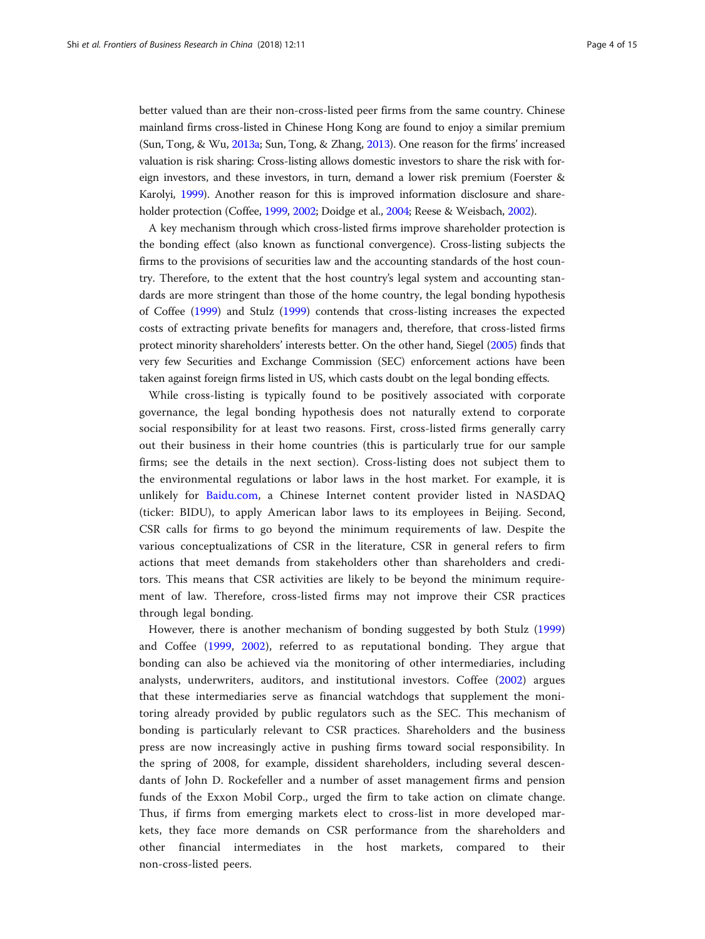better valued than are their non-cross-listed peer firms from the same country. Chinese mainland firms cross-listed in Chinese Hong Kong are found to enjoy a similar premium (Sun, Tong, & Wu, [2013a;](#page-14-0) Sun, Tong, & Zhang, [2013](#page-14-0)). One reason for the firms' increased valuation is risk sharing: Cross-listing allows domestic investors to share the risk with foreign investors, and these investors, in turn, demand a lower risk premium (Foerster & Karolyi, [1999\)](#page-13-0). Another reason for this is improved information disclosure and shareholder protection (Coffee, [1999,](#page-12-0) [2002;](#page-12-0) Doidge et al., [2004;](#page-13-0) Reese & Weisbach, [2002](#page-13-0)).

A key mechanism through which cross-listed firms improve shareholder protection is the bonding effect (also known as functional convergence). Cross-listing subjects the firms to the provisions of securities law and the accounting standards of the host country. Therefore, to the extent that the host country's legal system and accounting standards are more stringent than those of the home country, the legal bonding hypothesis of Coffee [\(1999\)](#page-12-0) and Stulz [\(1999\)](#page-14-0) contends that cross-listing increases the expected costs of extracting private benefits for managers and, therefore, that cross-listed firms protect minority shareholders' interests better. On the other hand, Siegel ([2005\)](#page-14-0) finds that very few Securities and Exchange Commission (SEC) enforcement actions have been taken against foreign firms listed in US, which casts doubt on the legal bonding effects.

While cross-listing is typically found to be positively associated with corporate governance, the legal bonding hypothesis does not naturally extend to corporate social responsibility for at least two reasons. First, cross-listed firms generally carry out their business in their home countries (this is particularly true for our sample firms; see the details in the next section). Cross-listing does not subject them to the environmental regulations or labor laws in the host market. For example, it is unlikely for [Baidu.com](http://baidu.com), a Chinese Internet content provider listed in NASDAQ (ticker: BIDU), to apply American labor laws to its employees in Beijing. Second, CSR calls for firms to go beyond the minimum requirements of law. Despite the various conceptualizations of CSR in the literature, CSR in general refers to firm actions that meet demands from stakeholders other than shareholders and creditors. This means that CSR activities are likely to be beyond the minimum requirement of law. Therefore, cross-listed firms may not improve their CSR practices through legal bonding.

However, there is another mechanism of bonding suggested by both Stulz [\(1999](#page-14-0)) and Coffee ([1999,](#page-12-0) [2002](#page-12-0)), referred to as reputational bonding. They argue that bonding can also be achieved via the monitoring of other intermediaries, including analysts, underwriters, auditors, and institutional investors. Coffee ([2002\)](#page-12-0) argues that these intermediaries serve as financial watchdogs that supplement the monitoring already provided by public regulators such as the SEC. This mechanism of bonding is particularly relevant to CSR practices. Shareholders and the business press are now increasingly active in pushing firms toward social responsibility. In the spring of 2008, for example, dissident shareholders, including several descendants of John D. Rockefeller and a number of asset management firms and pension funds of the Exxon Mobil Corp., urged the firm to take action on climate change. Thus, if firms from emerging markets elect to cross-list in more developed markets, they face more demands on CSR performance from the shareholders and other financial intermediates in the host markets, compared to their non-cross-listed peers.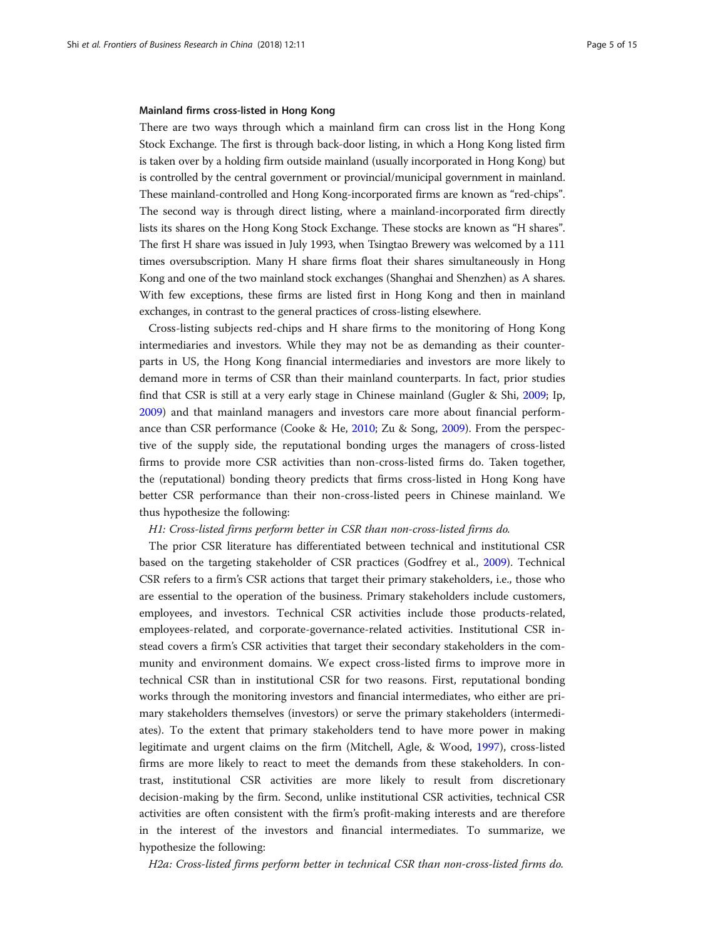#### Mainland firms cross-listed in Hong Kong

There are two ways through which a mainland firm can cross list in the Hong Kong Stock Exchange. The first is through back-door listing, in which a Hong Kong listed firm is taken over by a holding firm outside mainland (usually incorporated in Hong Kong) but is controlled by the central government or provincial/municipal government in mainland. These mainland-controlled and Hong Kong-incorporated firms are known as "red-chips". The second way is through direct listing, where a mainland-incorporated firm directly lists its shares on the Hong Kong Stock Exchange. These stocks are known as "H shares". The first H share was issued in July 1993, when Tsingtao Brewery was welcomed by a 111 times oversubscription. Many H share firms float their shares simultaneously in Hong Kong and one of the two mainland stock exchanges (Shanghai and Shenzhen) as A shares. With few exceptions, these firms are listed first in Hong Kong and then in mainland exchanges, in contrast to the general practices of cross-listing elsewhere.

Cross-listing subjects red-chips and H share firms to the monitoring of Hong Kong intermediaries and investors. While they may not be as demanding as their counterparts in US, the Hong Kong financial intermediaries and investors are more likely to demand more in terms of CSR than their mainland counterparts. In fact, prior studies find that CSR is still at a very early stage in Chinese mainland (Gugler & Shi, [2009;](#page-13-0) Ip, [2009](#page-13-0)) and that mainland managers and investors care more about financial performance than CSR performance (Cooke & He, [2010;](#page-12-0) Zu & Song, [2009\)](#page-14-0). From the perspective of the supply side, the reputational bonding urges the managers of cross-listed firms to provide more CSR activities than non-cross-listed firms do. Taken together, the (reputational) bonding theory predicts that firms cross-listed in Hong Kong have better CSR performance than their non-cross-listed peers in Chinese mainland. We thus hypothesize the following:

#### H1: Cross-listed firms perform better in CSR than non-cross-listed firms do.

The prior CSR literature has differentiated between technical and institutional CSR based on the targeting stakeholder of CSR practices (Godfrey et al., [2009](#page-13-0)). Technical CSR refers to a firm's CSR actions that target their primary stakeholders, i.e., those who are essential to the operation of the business. Primary stakeholders include customers, employees, and investors. Technical CSR activities include those products-related, employees-related, and corporate-governance-related activities. Institutional CSR instead covers a firm's CSR activities that target their secondary stakeholders in the community and environment domains. We expect cross-listed firms to improve more in technical CSR than in institutional CSR for two reasons. First, reputational bonding works through the monitoring investors and financial intermediates, who either are primary stakeholders themselves (investors) or serve the primary stakeholders (intermediates). To the extent that primary stakeholders tend to have more power in making legitimate and urgent claims on the firm (Mitchell, Agle, & Wood, [1997](#page-13-0)), cross-listed firms are more likely to react to meet the demands from these stakeholders. In contrast, institutional CSR activities are more likely to result from discretionary decision-making by the firm. Second, unlike institutional CSR activities, technical CSR activities are often consistent with the firm's profit-making interests and are therefore in the interest of the investors and financial intermediates. To summarize, we hypothesize the following:

H2a: Cross-listed firms perform better in technical CSR than non-cross-listed firms do.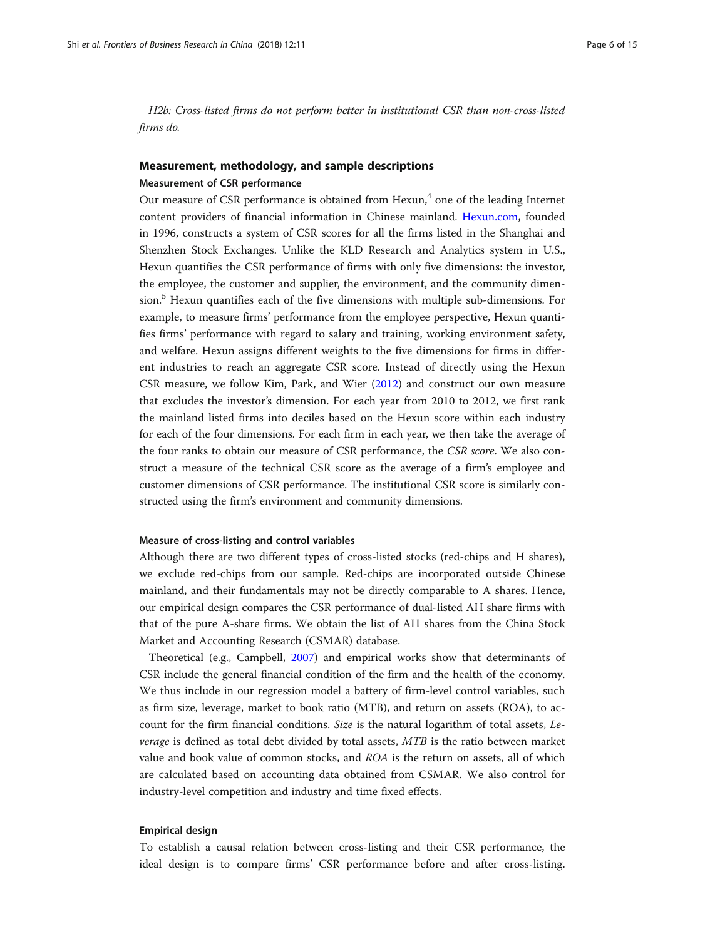<span id="page-5-0"></span>H2b: Cross-listed firms do not perform better in institutional CSR than non-cross-listed firms do.

## Measurement, methodology, and sample descriptions

#### Measurement of CSR performance

Our measure of CSR performance is obtained from Hexun, $4$  one of the leading Internet content providers of financial information in Chinese mainland. [Hexun.com,](http://hexun.com) founded in 1996, constructs a system of CSR scores for all the firms listed in the Shanghai and Shenzhen Stock Exchanges. Unlike the KLD Research and Analytics system in U.S., Hexun quantifies the CSR performance of firms with only five dimensions: the investor, the employee, the customer and supplier, the environment, and the community dimension.<sup>5</sup> Hexun quantifies each of the five dimensions with multiple sub-dimensions. For example, to measure firms' performance from the employee perspective, Hexun quantifies firms' performance with regard to salary and training, working environment safety, and welfare. Hexun assigns different weights to the five dimensions for firms in different industries to reach an aggregate CSR score. Instead of directly using the Hexun CSR measure, we follow Kim, Park, and Wier ([2012\)](#page-13-0) and construct our own measure that excludes the investor's dimension. For each year from 2010 to 2012, we first rank the mainland listed firms into deciles based on the Hexun score within each industry for each of the four dimensions. For each firm in each year, we then take the average of the four ranks to obtain our measure of CSR performance, the CSR score. We also construct a measure of the technical CSR score as the average of a firm's employee and customer dimensions of CSR performance. The institutional CSR score is similarly constructed using the firm's environment and community dimensions.

#### Measure of cross-listing and control variables

Although there are two different types of cross-listed stocks (red-chips and H shares), we exclude red-chips from our sample. Red-chips are incorporated outside Chinese mainland, and their fundamentals may not be directly comparable to A shares. Hence, our empirical design compares the CSR performance of dual-listed AH share firms with that of the pure A-share firms. We obtain the list of AH shares from the China Stock Market and Accounting Research (CSMAR) database.

Theoretical (e.g., Campbell, [2007\)](#page-12-0) and empirical works show that determinants of CSR include the general financial condition of the firm and the health of the economy. We thus include in our regression model a battery of firm-level control variables, such as firm size, leverage, market to book ratio (MTB), and return on assets (ROA), to account for the firm financial conditions. Size is the natural logarithm of total assets, Leverage is defined as total debt divided by total assets, MTB is the ratio between market value and book value of common stocks, and ROA is the return on assets, all of which are calculated based on accounting data obtained from CSMAR. We also control for industry-level competition and industry and time fixed effects.

#### Empirical design

To establish a causal relation between cross-listing and their CSR performance, the ideal design is to compare firms' CSR performance before and after cross-listing.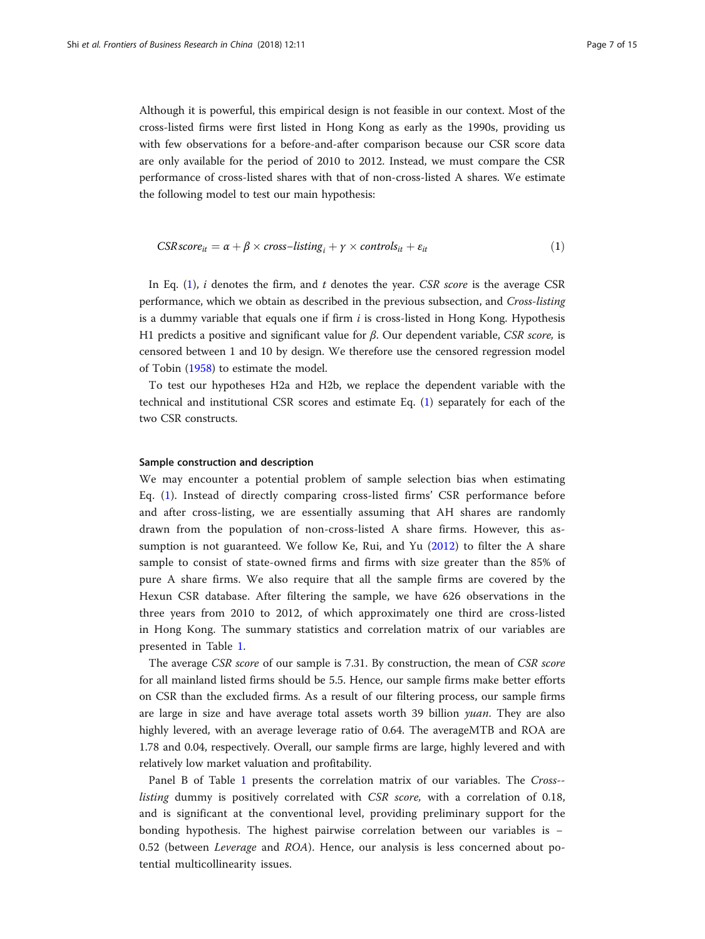<span id="page-6-0"></span>Although it is powerful, this empirical design is not feasible in our context. Most of the cross-listed firms were first listed in Hong Kong as early as the 1990s, providing us with few observations for a before-and-after comparison because our CSR score data are only available for the period of 2010 to 2012. Instead, we must compare the CSR performance of cross-listed shares with that of non-cross-listed A shares. We estimate the following model to test our main hypothesis:

$$
CSR score_{it} = \alpha + \beta \times cross-listing_i + \gamma \times controls_{it} + \varepsilon_{it}
$$
\n(1)

In Eq.  $(1)$ , *i* denotes the firm, and *t* denotes the year. CSR score is the average CSR performance, which we obtain as described in the previous subsection, and Cross-listing is a dummy variable that equals one if firm  $i$  is cross-listed in Hong Kong. Hypothesis H1 predicts a positive and significant value for  $β$ . Our dependent variable, CSR score, is censored between 1 and 10 by design. We therefore use the censored regression model of Tobin [\(1958](#page-14-0)) to estimate the model.

To test our hypotheses H2a and H2b, we replace the dependent variable with the technical and institutional CSR scores and estimate Eq. (1) separately for each of the two CSR constructs.

#### Sample construction and description

We may encounter a potential problem of sample selection bias when estimating Eq. (1). Instead of directly comparing cross-listed firms' CSR performance before and after cross-listing, we are essentially assuming that AH shares are randomly drawn from the population of non-cross-listed A share firms. However, this assumption is not guaranteed. We follow Ke, Rui, and Yu ([2012\)](#page-13-0) to filter the A share sample to consist of state-owned firms and firms with size greater than the 85% of pure A share firms. We also require that all the sample firms are covered by the Hexun CSR database. After filtering the sample, we have 626 observations in the three years from 2010 to 2012, of which approximately one third are cross-listed in Hong Kong. The summary statistics and correlation matrix of our variables are presented in Table [1.](#page-7-0)

The average CSR score of our sample is 7.31. By construction, the mean of CSR score for all mainland listed firms should be 5.5. Hence, our sample firms make better efforts on CSR than the excluded firms. As a result of our filtering process, our sample firms are large in size and have average total assets worth 39 billion *yuan*. They are also highly levered, with an average leverage ratio of 0.64. The averageMTB and ROA are 1.78 and 0.04, respectively. Overall, our sample firms are large, highly levered and with relatively low market valuation and profitability.

Panel B of Table [1](#page-7-0) presents the correlation matrix of our variables. The Cross- listing dummy is positively correlated with CSR score, with a correlation of 0.18, and is significant at the conventional level, providing preliminary support for the bonding hypothesis. The highest pairwise correlation between our variables is − 0.52 (between Leverage and ROA). Hence, our analysis is less concerned about potential multicollinearity issues.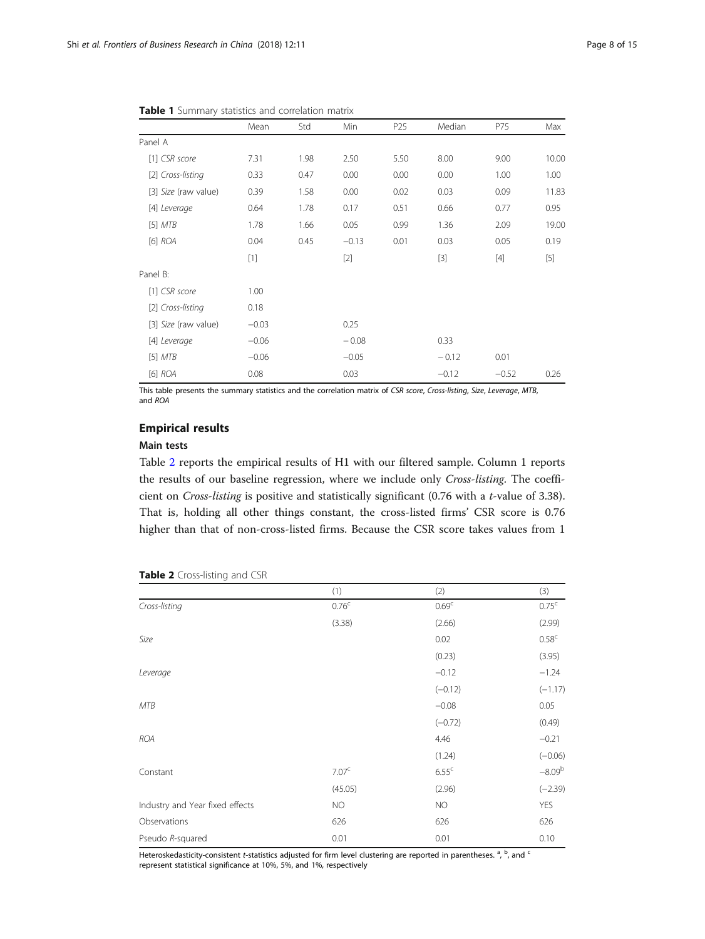|                      | Mean    | Std  | Min     | P <sub>25</sub> | Median  | P75     | Max   |
|----------------------|---------|------|---------|-----------------|---------|---------|-------|
| Panel A              |         |      |         |                 |         |         |       |
| [1] CSR score        | 7.31    | 1.98 | 2.50    | 5.50            | 8.00    | 9.00    | 10.00 |
| [2] Cross-listing    | 0.33    | 0.47 | 0.00    | 0.00            | 0.00    | 1.00    | 1.00  |
| [3] Size (raw value) | 0.39    | 1.58 | 0.00    | 0.02            | 0.03    | 0.09    | 11.83 |
| [4] Leverage         | 0.64    | 1.78 | 0.17    | 0.51            | 0.66    | 0.77    | 0.95  |
| [5] <i>MTB</i>       | 1.78    | 1.66 | 0.05    | 0.99            | 1.36    | 2.09    | 19.00 |
| $[6]$ $ROA$          | 0.04    | 0.45 | $-0.13$ | 0.01            | 0.03    | 0.05    | 0.19  |
|                      | $[1]$   |      | $[2]$   |                 | $[3]$   | $[4]$   | $[5]$ |
| Panel B:             |         |      |         |                 |         |         |       |
| [1] CSR score        | 1.00    |      |         |                 |         |         |       |
| [2] Cross-listing    | 0.18    |      |         |                 |         |         |       |
| [3] Size (raw value) | $-0.03$ |      | 0.25    |                 |         |         |       |
| [4] Leverage         | $-0.06$ |      | $-0.08$ |                 | 0.33    |         |       |
| [5] <i>MTB</i>       | $-0.06$ |      | $-0.05$ |                 | $-0.12$ | 0.01    |       |
| $[6]$ $ROA$          | 0.08    |      | 0.03    |                 | $-0.12$ | $-0.52$ | 0.26  |

<span id="page-7-0"></span>Table 1 Summary statistics and correlation matrix

This table presents the summary statistics and the correlation matrix of CSR score, Cross-listing, Size, Leverage, MTB, and ROA

## Empirical results

#### Main tests

Table 2 reports the empirical results of H1 with our filtered sample. Column 1 reports the results of our baseline regression, where we include only Cross-listing. The coefficient on Cross-listing is positive and statistically significant (0.76 with a t-value of 3.38). That is, holding all other things constant, the cross-listed firms' CSR score is 0.76 higher than that of non-cross-listed firms. Because the CSR score takes values from 1

|                                 | (1)               | (2)               | (3)               |
|---------------------------------|-------------------|-------------------|-------------------|
| Cross-listing                   | 0.76 <sup>c</sup> | 0.69 <sup>c</sup> | 0.75 <sup>c</sup> |
|                                 | (3.38)            | (2.66)            | (2.99)            |
| Size                            |                   | 0.02              | 0.58 <sup>c</sup> |
|                                 |                   | (0.23)            | (3.95)            |
| Leverage                        |                   | $-0.12$           | $-1.24$           |
|                                 |                   | $(-0.12)$         | $(-1.17)$         |
| MTB                             |                   | $-0.08$           | 0.05              |
|                                 |                   | $(-0.72)$         | (0.49)            |
| <b>ROA</b>                      |                   | 4.46              | $-0.21$           |
|                                 |                   | (1.24)            | $(-0.06)$         |
| Constant                        | 7.07 <sup>c</sup> | 6.55 <sup>c</sup> | $-8.09^{b}$       |
|                                 | (45.05)           | (2.96)            | $(-2.39)$         |
| Industry and Year fixed effects | <b>NO</b>         | NO.               | <b>YES</b>        |
| Observations                    | 626               | 626               | 626               |
| Pseudo R-squared                | 0.01              | 0.01              | 0.10              |

#### Table 2 Cross-listing and CSR

Heteroskedasticity-consistent *t*-statistics adjusted for firm level clustering are reported in parentheses. <sup>a</sup>, <sup>b</sup>, and <sup>c</sup><br>represent statistical significance at 10%, 5%, and 1%, respectively. represent statistical significance at 10%, 5%, and 1%, respectively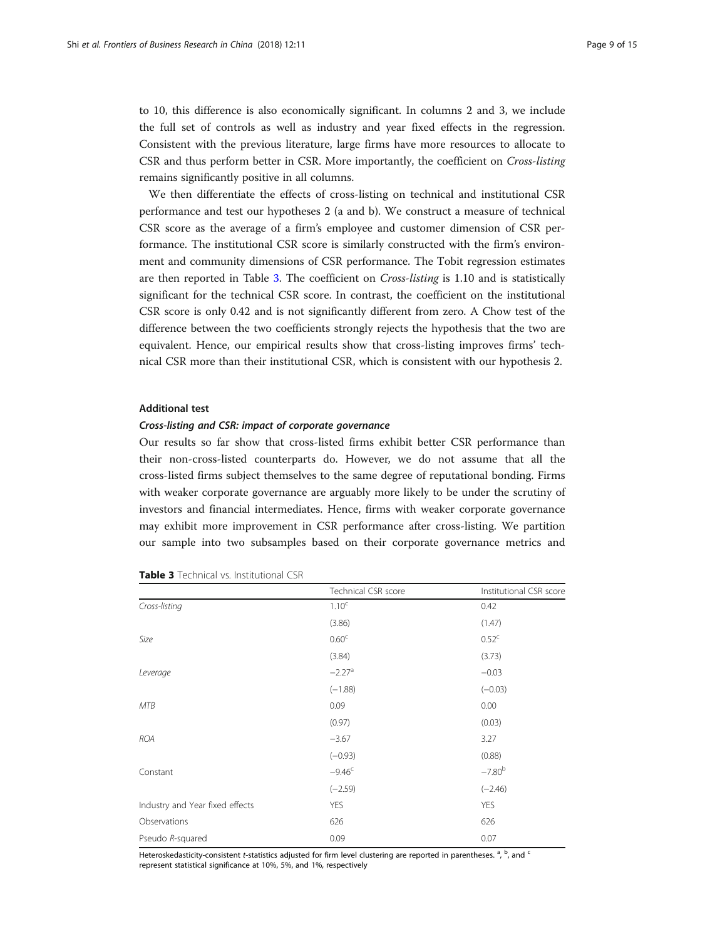<span id="page-8-0"></span>to 10, this difference is also economically significant. In columns 2 and 3, we include the full set of controls as well as industry and year fixed effects in the regression. Consistent with the previous literature, large firms have more resources to allocate to CSR and thus perform better in CSR. More importantly, the coefficient on Cross-listing remains significantly positive in all columns.

We then differentiate the effects of cross-listing on technical and institutional CSR performance and test our hypotheses 2 (a and b). We construct a measure of technical CSR score as the average of a firm's employee and customer dimension of CSR performance. The institutional CSR score is similarly constructed with the firm's environment and community dimensions of CSR performance. The Tobit regression estimates are then reported in Table 3. The coefficient on Cross-listing is 1.10 and is statistically significant for the technical CSR score. In contrast, the coefficient on the institutional CSR score is only 0.42 and is not significantly different from zero. A Chow test of the difference between the two coefficients strongly rejects the hypothesis that the two are equivalent. Hence, our empirical results show that cross-listing improves firms' technical CSR more than their institutional CSR, which is consistent with our hypothesis 2.

#### Additional test

#### Cross-listing and CSR: impact of corporate governance

Our results so far show that cross-listed firms exhibit better CSR performance than their non-cross-listed counterparts do. However, we do not assume that all the cross-listed firms subject themselves to the same degree of reputational bonding. Firms with weaker corporate governance are arguably more likely to be under the scrutiny of investors and financial intermediates. Hence, firms with weaker corporate governance may exhibit more improvement in CSR performance after cross-listing. We partition our sample into two subsamples based on their corporate governance metrics and

|                                 | Technical CSR score  | Institutional CSR score |
|---------------------------------|----------------------|-------------------------|
| Cross-listing                   | 1.10 <sup>c</sup>    | 0.42                    |
|                                 | (3.86)               | (1.47)                  |
| Size                            | 0.60 <sup>c</sup>    | 0.52 <sup>c</sup>       |
|                                 | (3.84)               | (3.73)                  |
| Leverage                        | $-2.27$ <sup>a</sup> | $-0.03$                 |
|                                 | $(-1.88)$            | $(-0.03)$               |
| MTB                             | 0.09                 | 0.00                    |
|                                 | (0.97)               | (0.03)                  |
| <b>ROA</b>                      | $-3.67$              | 3.27                    |
|                                 | $(-0.93)$            | (0.88)                  |
| Constant                        | $-9.46c$             | $-7.80b$                |
|                                 | $(-2.59)$            | $(-2.46)$               |
| Industry and Year fixed effects | <b>YES</b>           | YES                     |
| Observations                    | 626                  | 626                     |
| Pseudo R-squared                | 0.09                 | 0.07                    |

|  |  | <b>Table 3</b> Technical vs. Institutional CSR |  |
|--|--|------------------------------------------------|--|
|--|--|------------------------------------------------|--|

Heteroskedasticity-consistent *t*-statistics adjusted for firm level clustering are reported in parentheses. <sup>a</sup>, <sup>b</sup>, and <sup>c</sup><br>represent statistical significance at 10%, 5%, and 1%, respectively. represent statistical significance at 10%, 5%, and 1%, respectively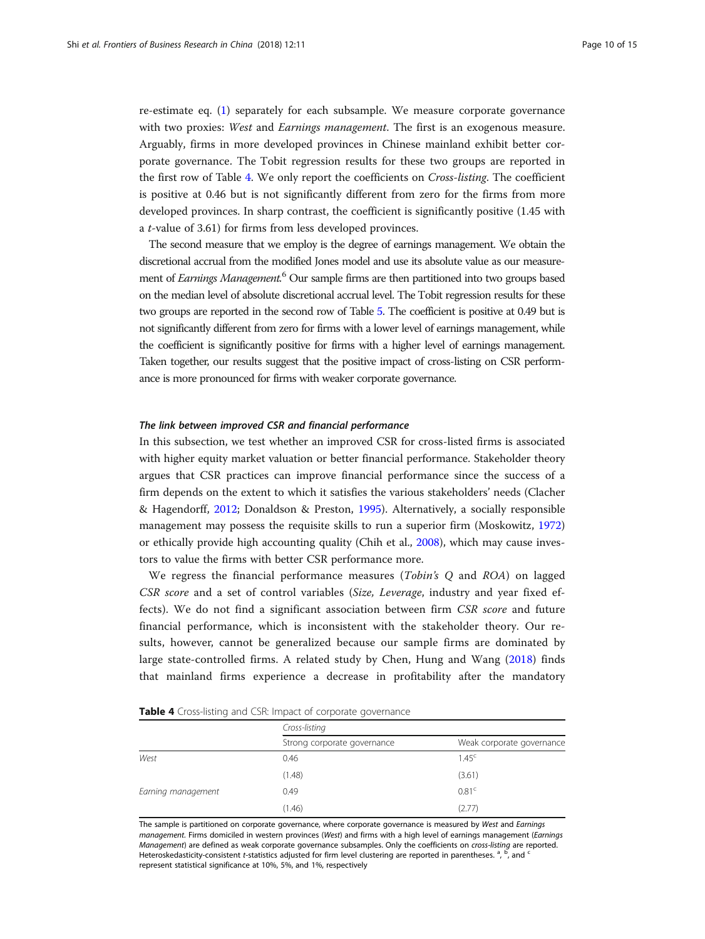re-estimate eq. ([1\)](#page-6-0) separately for each subsample. We measure corporate governance with two proxies: West and *Earnings management*. The first is an exogenous measure. Arguably, firms in more developed provinces in Chinese mainland exhibit better corporate governance. The Tobit regression results for these two groups are reported in the first row of Table 4. We only report the coefficients on Cross-listing. The coefficient is positive at 0.46 but is not significantly different from zero for the firms from more developed provinces. In sharp contrast, the coefficient is significantly positive (1.45 with a t-value of 3.61) for firms from less developed provinces.

The second measure that we employ is the degree of earnings management. We obtain the discretional accrual from the modified Jones model and use its absolute value as our measurement of *Earnings Management.*<sup>6</sup> Our sample firms are then partitioned into two groups based on the median level of absolute discretional accrual level. The Tobit regression results for these two groups are reported in the second row of Table [5](#page-10-0). The coefficient is positive at 0.49 but is not significantly different from zero for firms with a lower level of earnings management, while the coefficient is significantly positive for firms with a higher level of earnings management. Taken together, our results suggest that the positive impact of cross-listing on CSR performance is more pronounced for firms with weaker corporate governance.

#### The link between improved CSR and financial performance

In this subsection, we test whether an improved CSR for cross-listed firms is associated with higher equity market valuation or better financial performance. Stakeholder theory argues that CSR practices can improve financial performance since the success of a firm depends on the extent to which it satisfies the various stakeholders' needs (Clacher & Hagendorff, [2012;](#page-12-0) Donaldson & Preston, [1995](#page-13-0)). Alternatively, a socially responsible management may possess the requisite skills to run a superior firm (Moskowitz, [1972](#page-13-0)) or ethically provide high accounting quality (Chih et al., [2008](#page-12-0)), which may cause investors to value the firms with better CSR performance more.

We regress the financial performance measures *(Tobin's Q* and *ROA)* on lagged CSR score and a set of control variables (Size, Leverage, industry and year fixed effects). We do not find a significant association between firm CSR score and future financial performance, which is inconsistent with the stakeholder theory. Our results, however, cannot be generalized because our sample firms are dominated by large state-controlled firms. A related study by Chen, Hung and Wang [\(2018](#page-12-0)) finds that mainland firms experience a decrease in profitability after the mandatory

|                    | Cross-listing               |                           |  |
|--------------------|-----------------------------|---------------------------|--|
|                    | Strong corporate governance | Weak corporate governance |  |
| West               | 0.46                        | 1.45 <sup>c</sup>         |  |
|                    | (1.48)                      | (3.61)                    |  |
| Earning management | 0.49                        | 0.81 <sup>c</sup>         |  |
|                    | (1.46)                      | (2.77)                    |  |

The sample is partitioned on corporate governance, where corporate governance is measured by West and Earnings management. Firms domiciled in western provinces (West) and firms with a high level of earnings management (Earnings Management) are defined as weak corporate governance subsamples. Only the coefficients on cross-listing are reported. Heteroskedasticity-consistent t-statistics adjusted for firm level clustering are reported in parentheses. <sup>a</sup>, <sup>b</sup>, and <sup>c</sup><br>represent statistical significance at 10%, 5%, and 1%, respectively. represent statistical significance at 10%, 5%, and 1%, respectively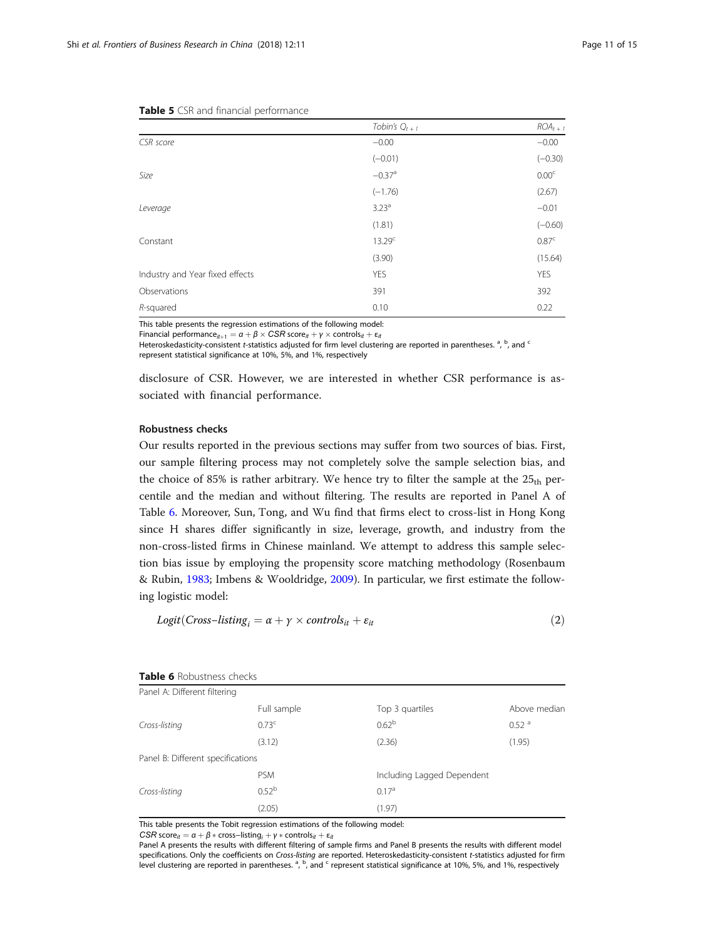|                                 | Tobin's $Q_{t+1}$    | $ROA_{t+1}$       |
|---------------------------------|----------------------|-------------------|
| CSR score                       | $-0.00$              | $-0.00$           |
|                                 | $(-0.01)$            | $(-0.30)$         |
| Size                            | $-0.37$ <sup>a</sup> | 0.00 <sup>c</sup> |
|                                 | $(-1.76)$            | (2.67)            |
| Leverage                        | $3.23^{a}$           | $-0.01$           |
|                                 | (1.81)               | $(-0.60)$         |
| Constant                        | 13.29 <sup>c</sup>   | 0.87 <sup>c</sup> |
|                                 | (3.90)               | (15.64)           |
| Industry and Year fixed effects | <b>YES</b>           | <b>YES</b>        |
| Observations                    | 391                  | 392               |
| R-squared                       | 0.10                 | 0.22              |

<span id="page-10-0"></span>

|  |  |  |  | Table 5 CSR and financial performance |
|--|--|--|--|---------------------------------------|
|--|--|--|--|---------------------------------------|

This table presents the regression estimations of the following model:

Financial performance ${}_{it+1} = \alpha + \beta \times \text{CSR}$  score ${}_{it} + \gamma \times \text{controls}_{it} + \epsilon_{it}$ 

Heteroskedasticity-consistent *t*-statistics adjusted for firm level clustering are reported in parentheses.<sup>a</sup>, <sup>b</sup>, and <sup>c</sup><br>represent statistical significance at 10%, 5%, and 1%, respectively. represent statistical significance at 10%, 5%, and 1%, respectively

disclosure of CSR. However, we are interested in whether CSR performance is associated with financial performance.

#### Robustness checks

Our results reported in the previous sections may suffer from two sources of bias. First, our sample filtering process may not completely solve the sample selection bias, and the choice of 85% is rather arbitrary. We hence try to filter the sample at the  $25<sub>th</sub>$  percentile and the median and without filtering. The results are reported in Panel A of Table 6. Moreover, Sun, Tong, and Wu find that firms elect to cross-list in Hong Kong since H shares differ significantly in size, leverage, growth, and industry from the non-cross-listed firms in Chinese mainland. We attempt to address this sample selection bias issue by employing the propensity score matching methodology (Rosenbaum & Rubin, [1983](#page-13-0); Imbens & Wooldridge, [2009\)](#page-13-0). In particular, we first estimate the following logistic model:

$$
Logit(Cross-Listing_i = \alpha + \gamma \times controls_{it} + \varepsilon_{it}
$$
\n(2)

| Panel A: Different filtering      |                   |                            |                     |
|-----------------------------------|-------------------|----------------------------|---------------------|
|                                   | Full sample       | Top 3 quartiles            | Above median        |
| Cross-listing                     | 0.73 <sup>c</sup> | 0.62 <sup>b</sup>          | $0.52$ <sup>a</sup> |
|                                   | (3.12)            | (2.36)                     | (1.95)              |
| Panel B: Different specifications |                   |                            |                     |
|                                   | <b>PSM</b>        | Including Lagged Dependent |                     |
| Cross-listing                     | 0.52 <sup>b</sup> | 0.17 <sup>a</sup>          |                     |
|                                   | (2.05)            | (1.97)                     |                     |

Table 6 Robustness checks

This table presents the Tobit regression estimations of the following model:

CSR score<sub>it</sub> =  $\alpha + \beta *$  cross–listing<sub>i</sub> +  $\gamma *$  controls<sub>it</sub> +  $\varepsilon_{it}$ 

Panel A presents the results with different filtering of sample firms and Panel B presents the results with different model<br>specifications. Only the coefficients on Cross-listing are reported. Heteroskedasticity-consistent specifications. Only the coefficients on *Cross-listing* are reported. Heteroskedasticity-consistent *t-*statistics adjusted for firm<br>level clustering are reported in parentheses. <sup>a</sup>, <sup>b</sup>, and <sup>c</sup> represent statistical si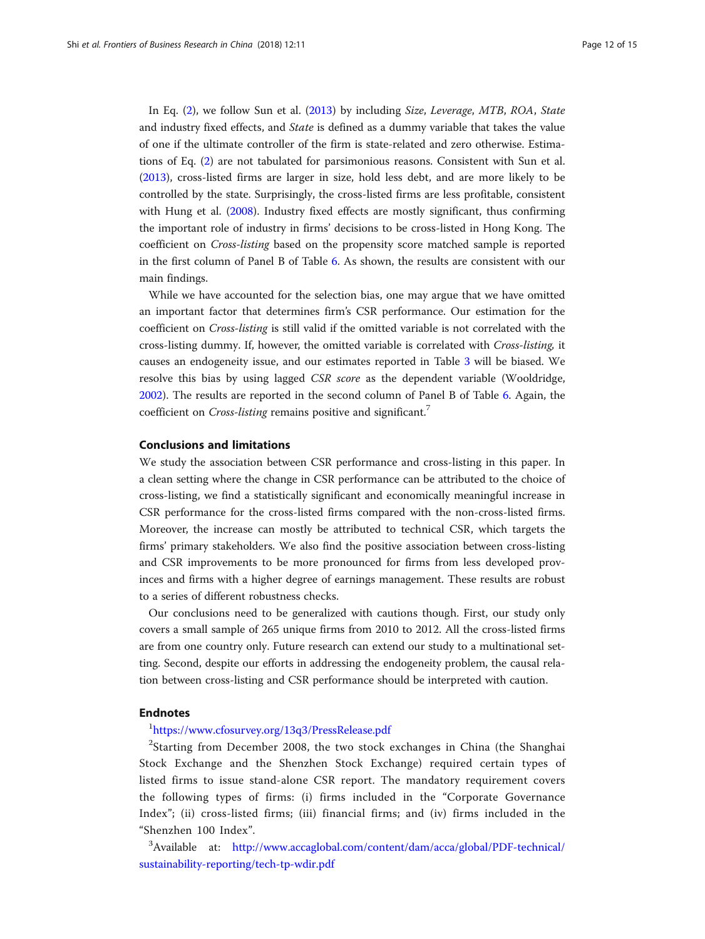<span id="page-11-0"></span>In Eq. ([2](#page-10-0)), we follow Sun et al. [\(2013\)](#page-14-0) by including Size, Leverage, MTB, ROA, State and industry fixed effects, and State is defined as a dummy variable that takes the value of one if the ultimate controller of the firm is state-related and zero otherwise. Estimations of Eq. ([2](#page-10-0)) are not tabulated for parsimonious reasons. Consistent with Sun et al. ([2013](#page-14-0)), cross-listed firms are larger in size, hold less debt, and are more likely to be controlled by the state. Surprisingly, the cross-listed firms are less profitable, consistent with Hung et al. [\(2008\)](#page-13-0). Industry fixed effects are mostly significant, thus confirming the important role of industry in firms' decisions to be cross-listed in Hong Kong. The coefficient on Cross-listing based on the propensity score matched sample is reported in the first column of Panel B of Table [6](#page-10-0). As shown, the results are consistent with our main findings.

While we have accounted for the selection bias, one may argue that we have omitted an important factor that determines firm's CSR performance. Our estimation for the coefficient on Cross-listing is still valid if the omitted variable is not correlated with the cross-listing dummy. If, however, the omitted variable is correlated with Cross-listing, it causes an endogeneity issue, and our estimates reported in Table [3](#page-8-0) will be biased. We resolve this bias by using lagged CSR score as the dependent variable (Wooldridge, [2002](#page-14-0)). The results are reported in the second column of Panel B of Table [6.](#page-10-0) Again, the coefficient on Cross-listing remains positive and significant.<sup>7</sup>

#### Conclusions and limitations

We study the association between CSR performance and cross-listing in this paper. In a clean setting where the change in CSR performance can be attributed to the choice of cross-listing, we find a statistically significant and economically meaningful increase in CSR performance for the cross-listed firms compared with the non-cross-listed firms. Moreover, the increase can mostly be attributed to technical CSR, which targets the firms' primary stakeholders. We also find the positive association between cross-listing and CSR improvements to be more pronounced for firms from less developed provinces and firms with a higher degree of earnings management. These results are robust to a series of different robustness checks.

Our conclusions need to be generalized with cautions though. First, our study only covers a small sample of 265 unique firms from 2010 to 2012. All the cross-listed firms are from one country only. Future research can extend our study to a multinational setting. Second, despite our efforts in addressing the endogeneity problem, the causal relation between cross-listing and CSR performance should be interpreted with caution.

#### Endnotes

## 1 <https://www.cfosurvey.org/13q3/PressRelease.pdf>

<sup>2</sup>Starting from December 2008, the two stock exchanges in China (the Shanghai Stock Exchange and the Shenzhen Stock Exchange) required certain types of listed firms to issue stand-alone CSR report. The mandatory requirement covers the following types of firms: (i) firms included in the "Corporate Governance Index"; (ii) cross-listed firms; (iii) financial firms; and (iv) firms included in the "Shenzhen 100 Index".

<sup>3</sup>Available at: [http://www.accaglobal.com/content/dam/acca/global/PDF-technical/](http://www.accaglobal.com/content/dam/acca/global/PDF-technical/sustainability-reporting/tech-tp-wdir.pdf) [sustainability-reporting/tech-tp-wdir.pdf](http://www.accaglobal.com/content/dam/acca/global/PDF-technical/sustainability-reporting/tech-tp-wdir.pdf)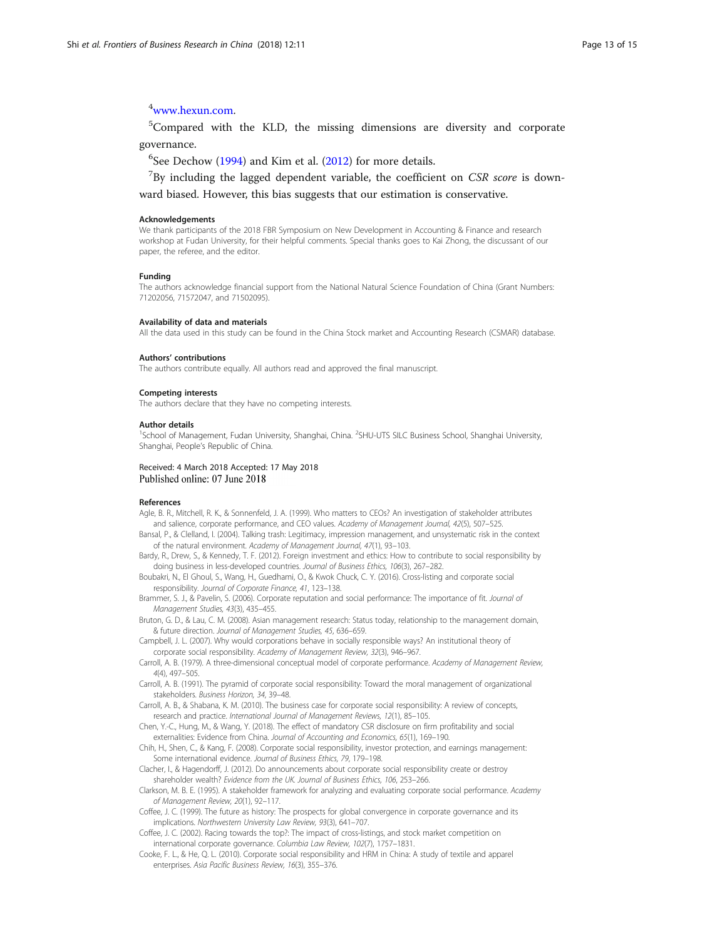## <span id="page-12-0"></span>4 [www.hexun.com](http://www.hexun.com).

<sup>5</sup>Compared with the KLD, the missing dimensions are diversity and corporate governance.

 $6$ See Dechow [\(1994](#page-13-0)) and Kim et al. [\(2012\)](#page-13-0) for more details.

 $7$ By including the lagged dependent variable, the coefficient on CSR score is downward biased. However, this bias suggests that our estimation is conservative.

#### Acknowledgements

We thank participants of the 2018 FBR Symposium on New Development in Accounting & Finance and research workshop at Fudan University, for their helpful comments. Special thanks goes to Kai Zhong, the discussant of our paper, the referee, and the editor.

#### Funding

The authors acknowledge financial support from the National Natural Science Foundation of China (Grant Numbers: 71202056, 71572047, and 71502095).

#### Availability of data and materials

All the data used in this study can be found in the China Stock market and Accounting Research (CSMAR) database.

#### Authors' contributions

The authors contribute equally. All authors read and approved the final manuscript.

#### Competing interests

The authors declare that they have no competing interests.

#### Author details

<sup>1</sup>School of Management, Fudan University, Shanghai, China. <sup>2</sup>SHU-UTS SILC Business School, Shanghai University, Shanghai, People's Republic of China.

## Received: 4 March 2018 Accepted: 17 May 2018<br>Published online: 07 June 2018

#### References

- Agle, B. R., Mitchell, R. K., & Sonnenfeld, J. A. (1999). Who matters to CEOs? An investigation of stakeholder attributes and salience, corporate performance, and CEO values. Academy of Management Journal, 42(5), 507-525.
- Bansal, P., & Clelland, I. (2004). Talking trash: Legitimacy, impression management, and unsystematic risk in the context of the natural environment. Academy of Management Journal, 47(1), 93–103.
- Bardy, R., Drew, S., & Kennedy, T. F. (2012). Foreign investment and ethics: How to contribute to social responsibility by doing business in less-developed countries. Journal of Business Ethics, 106(3), 267–282.
- Boubakri, N., El Ghoul, S., Wang, H., Guedhami, O., & Kwok Chuck, C. Y. (2016). Cross-listing and corporate social responsibility. Journal of Corporate Finance, 41, 123–138.
- Brammer, S. J., & Pavelin, S. (2006). Corporate reputation and social performance: The importance of fit. Journal of Management Studies, 43(3), 435–455.
- Bruton, G. D., & Lau, C. M. (2008). Asian management research: Status today, relationship to the management domain, & future direction. Journal of Management Studies, 45, 636–659.

Campbell, J. L. (2007). Why would corporations behave in socially responsible ways? An institutional theory of corporate social responsibility. Academy of Management Review, 32(3), 946–967.

- Carroll, A. B. (1979). A three-dimensional conceptual model of corporate performance. Academy of Management Review, 4(4), 497–505.
- Carroll, A. B. (1991). The pyramid of corporate social responsibility: Toward the moral management of organizational stakeholders. Business Horizon, 34, 39–48.
- Carroll, A. B., & Shabana, K. M. (2010). The business case for corporate social responsibility: A review of concepts, research and practice. International Journal of Management Reviews, 12(1), 85–105.
- Chen, Y.-C., Hung, M., & Wang, Y. (2018). The effect of mandatory CSR disclosure on firm profitability and social externalities: Evidence from China. Journal of Accounting and Economics, 65(1), 169–190.
- Chih, H., Shen, C., & Kang, F. (2008). Corporate social responsibility, investor protection, and earnings management: Some international evidence. Journal of Business Ethics, 79, 179–198.
- Clacher, I., & Hagendorff, J. (2012). Do announcements about corporate social responsibility create or destroy shareholder wealth? Evidence from the UK. Journal of Business Ethics, 106, 253–266.
- Clarkson, M. B. E. (1995). A stakeholder framework for analyzing and evaluating corporate social performance. Academy of Management Review, 20(1), 92–117.

Coffee, J. C. (1999). The future as history: The prospects for global convergence in corporate governance and its implications. Northwestern University Law Review, 93(3), 641–707.

- Coffee, J. C. (2002). Racing towards the top?: The impact of cross-listings, and stock market competition on international corporate governance. Columbia Law Review, 102(7), 1757–1831.
- Cooke, F. L., & He, Q. L. (2010). Corporate social responsibility and HRM in China: A study of textile and apparel enterprises. Asia Pacific Business Review, 16(3), 355–376.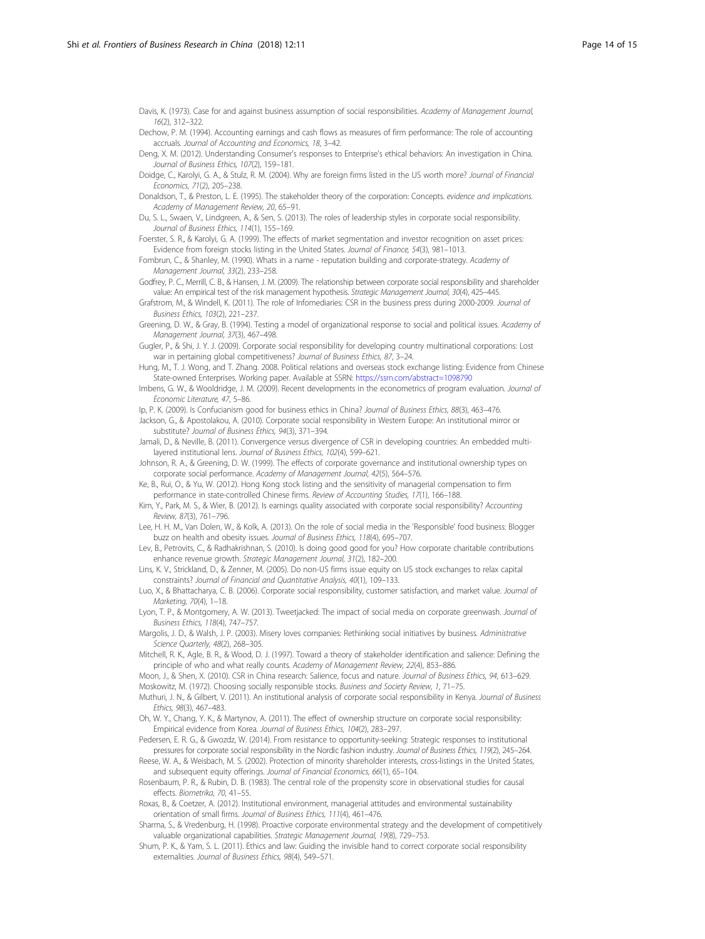<span id="page-13-0"></span>Davis, K. (1973). Case for and against business assumption of social responsibilities. Academy of Management Journal, 16(2), 312–322.

Dechow, P. M. (1994). Accounting earnings and cash flows as measures of firm performance: The role of accounting accruals. Journal of Accounting and Economics, 18, 3–42.

Deng, X. M. (2012). Understanding Consumer's responses to Enterprise's ethical behaviors: An investigation in China. Journal of Business Ethics, 107(2), 159–181.

Doidge, C., Karolyi, G. A., & Stulz, R. M. (2004). Why are foreign firms listed in the US worth more? Journal of Financial Economics, 71(2), 205–238.

Donaldson, T., & Preston, L. E. (1995). The stakeholder theory of the corporation: Concepts. evidence and implications. Academy of Management Review, 20, 65–91.

Du, S. L., Swaen, V., Lindgreen, A., & Sen, S. (2013). The roles of leadership styles in corporate social responsibility. Journal of Business Ethics, 114(1), 155–169.

Foerster, S. R., & Karolyi, G. A. (1999). The effects of market segmentation and investor recognition on asset prices: Evidence from foreign stocks listing in the United States. Journal of Finance, 54(3), 981–1013.

Fombrun, C., & Shanley, M. (1990). Whats in a name - reputation building and corporate-strategy. Academy of Management Journal, 33(2), 233–258.

Godfrey, P. C., Merrill, C. B., & Hansen, J. M. (2009). The relationship between corporate social responsibility and shareholder value: An empirical test of the risk management hypothesis. Strategic Management Journal, 30(4), 425–445.

Grafstrom, M., & Windell, K. (2011). The role of Infomediaries: CSR in the business press during 2000-2009. Journal of Business Ethics, 103(2), 221–237.

Greening, D. W., & Gray, B. (1994). Testing a model of organizational response to social and political issues. Academy of Management Journal, 37(3), 467–498.

Gugler, P., & Shi, J. Y. J. (2009). Corporate social responsibility for developing country multinational corporations: Lost war in pertaining global competitiveness? Journal of Business Ethics, 87, 3–24.

Hung, M., T. J. Wong, and T. Zhang. 2008. Political relations and overseas stock exchange listing: Evidence from Chinese State-owned Enterprises. Working paper. Available at SSRN: https://ssrn.com/abstract=1098790

Imbens, G. W., & Wooldridge, J. M. (2009). Recent developments in the econometrics of program evaluation. Journal of Economic Literature, 47, 5–86.

Ip, P. K. (2009). Is Confucianism good for business ethics in China? Journal of Business Ethics, 88(3), 463–476. Jackson, G., & Apostolakou, A. (2010). Corporate social responsibility in Western Europe: An institutional mirror or

substitute? Journal of Business Ethics, 94(3), 371–394.

Jamali, D., & Neville, B. (2011). Convergence versus divergence of CSR in developing countries: An embedded multilayered institutional lens. Journal of Business Ethics, 102(4), 599–621.

Johnson, R. A., & Greening, D. W. (1999). The effects of corporate governance and institutional ownership types on corporate social performance. Academy of Management Journal, 42(5), 564–576.

Ke, B., Rui, O., & Yu, W. (2012). Hong Kong stock listing and the sensitivity of managerial compensation to firm performance in state-controlled Chinese firms. Review of Accounting Studies, 17(1), 166-188

Kim, Y., Park, M. S., & Wier, B. (2012). Is earnings quality associated with corporate social responsibility? Accounting Review, 87(3), 761–796.

Lee, H. H. M., Van Dolen, W., & Kolk, A. (2013). On the role of social media in the 'Responsible' food business: Blogger buzz on health and obesity issues. Journal of Business Ethics, 118(4), 695–707.

Lev, B., Petrovits, C., & Radhakrishnan, S. (2010). Is doing good good for you? How corporate charitable contributions enhance revenue growth. Strategic Management Journal, 31(2), 182–200.

Lins, K. V., Strickland, D., & Zenner, M. (2005). Do non-US firms issue equity on US stock exchanges to relax capital constraints? Journal of Financial and Quantitative Analysis, 40(1), 109–133.

Luo, X., & Bhattacharya, C. B. (2006). Corporate social responsibility, customer satisfaction, and market value. Journal of Marketing, 70(4), 1–18.

Lyon, T. P., & Montgomery, A. W. (2013). Tweetjacked: The impact of social media on corporate greenwash. Journal of Business Ethics, 118(4), 747–757.

Margolis, J. D., & Walsh, J. P. (2003). Misery loves companies: Rethinking social initiatives by business. Administrative Science Quarterly, 48(2), 268-305.

Mitchell, R. K., Agle, B. R., & Wood, D. J. (1997). Toward a theory of stakeholder identification and salience: Defining the principle of who and what really counts. Academy of Management Review, 22(4), 853–886.

Moon, J., & Shen, X. (2010). CSR in China research: Salience, focus and nature. Journal of Business Ethics, 94, 613–629. Moskowitz, M. (1972). Choosing socially responsible stocks. Business and Society Review, 1, 71–75.

Muthuri, J. N., & Gilbert, V. (2011). An institutional analysis of corporate social responsibility in Kenya. Journal of Business Ethics, 98(3), 467–483.

Oh, W. Y., Chang, Y. K., & Martynov, A. (2011). The effect of ownership structure on corporate social responsibility: Empirical evidence from Korea. Journal of Business Ethics, 104(2), 283–297.

Pedersen, E. R. G., & Gwozdz, W. (2014). From resistance to opportunity-seeking: Strategic responses to institutional pressures for corporate social responsibility in the Nordic fashion industry. Journal of Business Ethics, 119(2), 245–264.

Reese, W. A., & Weisbach, M. S. (2002). Protection of minority shareholder interests, cross-listings in the United States, and subsequent equity offerings. Journal of Financial Economics, 66(1), 65–104.

Rosenbaum, P. R., & Rubin, D. B. (1983). The central role of the propensity score in observational studies for causal effects. Biometrika, 70, 41–55.

Roxas, B., & Coetzer, A. (2012). Institutional environment, managerial attitudes and environmental sustainability orientation of small firms. Journal of Business Ethics, 111(4), 461–476.

Sharma, S., & Vredenburg, H. (1998). Proactive corporate environmental strategy and the development of competitively valuable organizational capabilities. Strategic Management Journal, 19(8), 729–753.

Shum, P. K., & Yam, S. L. (2011). Ethics and law: Guiding the invisible hand to correct corporate social responsibility externalities. Journal of Business Ethics, 98(4), 549–571.